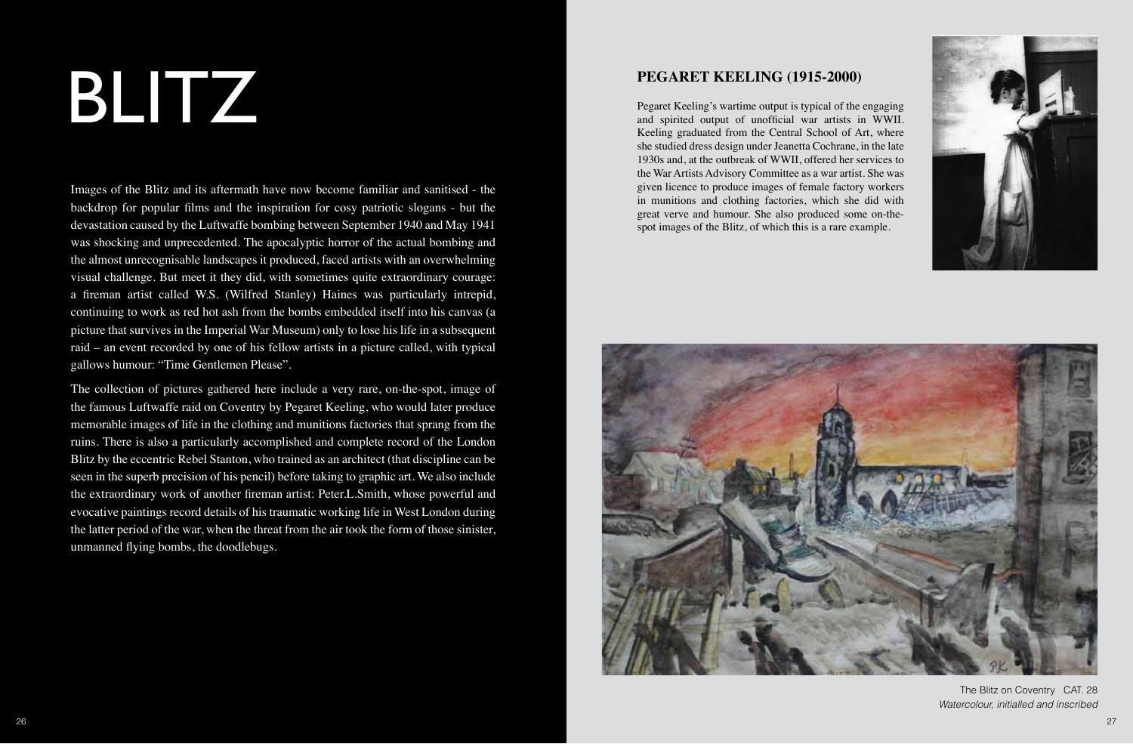# BLITZ

Images of the Blitz and its aftermath have now become familiar and sanitised - the backdrop for popular films and the inspiration for cosy patriotic slogans - but the devastation caused by the Luftwaffe bombing between September 1940 and May 1941 was shocking and unprecedented. The apocalyptic horror of the actual bombing and the almost unrecognisable landscapes it produced, faced artists with an overwhelming visual challenge. But meet it they did, with sometimes quite extraordinary courage: a fireman artist called W.S. (Wilfred Stanley) Haines was particularly intrepid, continuing to work as red hot ash from the bombs embedded itself into his canvas (a picture that survives in the Imperial War Museum) only to lose his life in a subsequent raid – an event recorded by one of his fellow artists in a picture called, with typical gallows humour: "Time Gentlemen Please".

The collection of pictures gathered here include a very rare, on-the-spot, image of the famous Luftwaffe raid on Coventry by Pegaret Keeling, who would later produce memorable images of life in the clothing and munitions factories that sprang from the ruins. There is also a particularly accomplished and complete record of the London Blitz by the eccentric Rebel Stanton, who trained as an architect (that discipline can be seen in the superb precision of his pencil) before taking to graphic art. We also include the extraordinary work of another fireman artist: Peter.L.Smith, whose powerful and evocative paintings record details of his traumatic working life in West London during the latter period of the war, when the threat from the air took the form of those sinister, unmanned flying bombs, the doodlebugs.

#### **PEGARET KEELING (1915-2000)**

Pegaret Keeling's wartime output is typical of the engaging and spirited output of unofficial war artists in WWII. Keeling graduated from the Central School of Art, where she studied dress design under Jeanetta Cochrane, in the late 1930s and, at the outbreak of WWII, offered her services to the War Artists Advisory Committee as a war artist. She was given licence to produce images of female factory workers in munitions and clothing factories, which she did with great verve and humour. She also produced some on-thespot images of the Blitz, of which this is a rare example.





The Blitz on Coventry CAT. 28 *Watercolour, initialled and inscribed*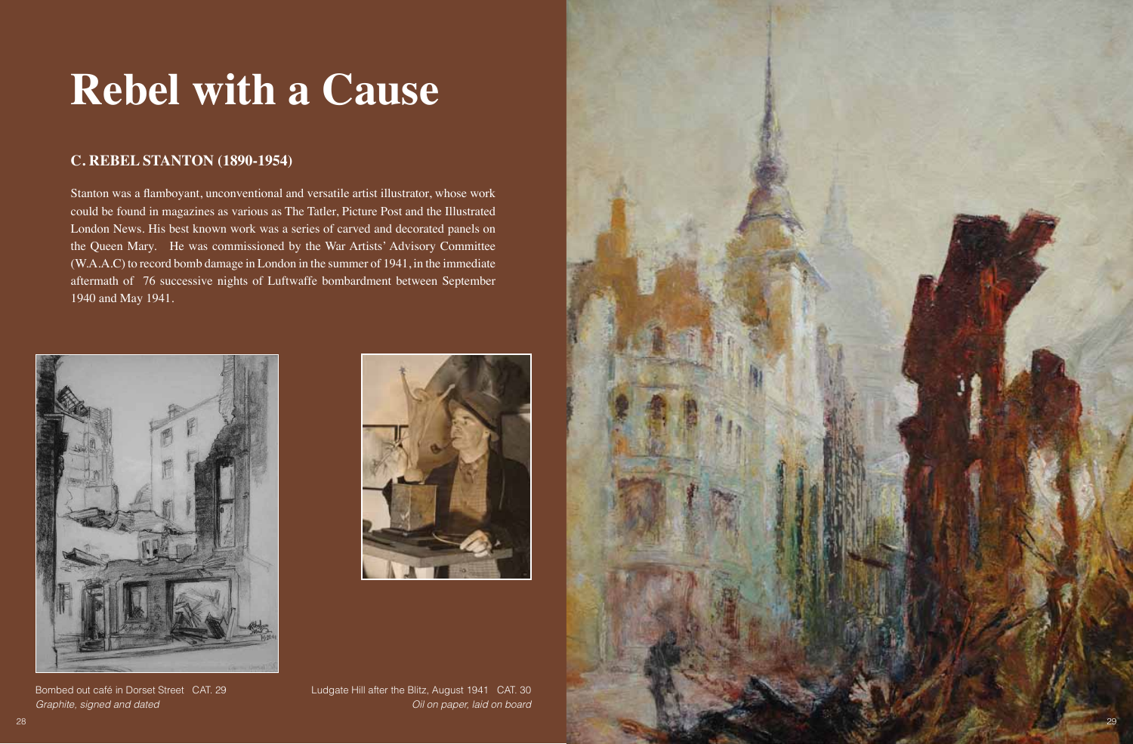## **Rebel with a Cause**

#### **C. REBEL STANTON (1890-1954)**

Stanton was a flamboyant, unconventional and versatile artist illustrator, whose work could be found in magazines as various as The Tatler, Picture Post and the Illustrated London News. His best known work was a series of carved and decorated panels on the Queen Mary. He was commissioned by the War Artists' Advisory Committee (W.A.A.C) to record bomb damage in London in the summer of 1941, in the immediate aftermath of 76 successive nights of Luftwaffe bombardment between September 1940 and May 1941.





Bombed out café in Dorset Street CAT. 29 *Graphite, signed and dated*



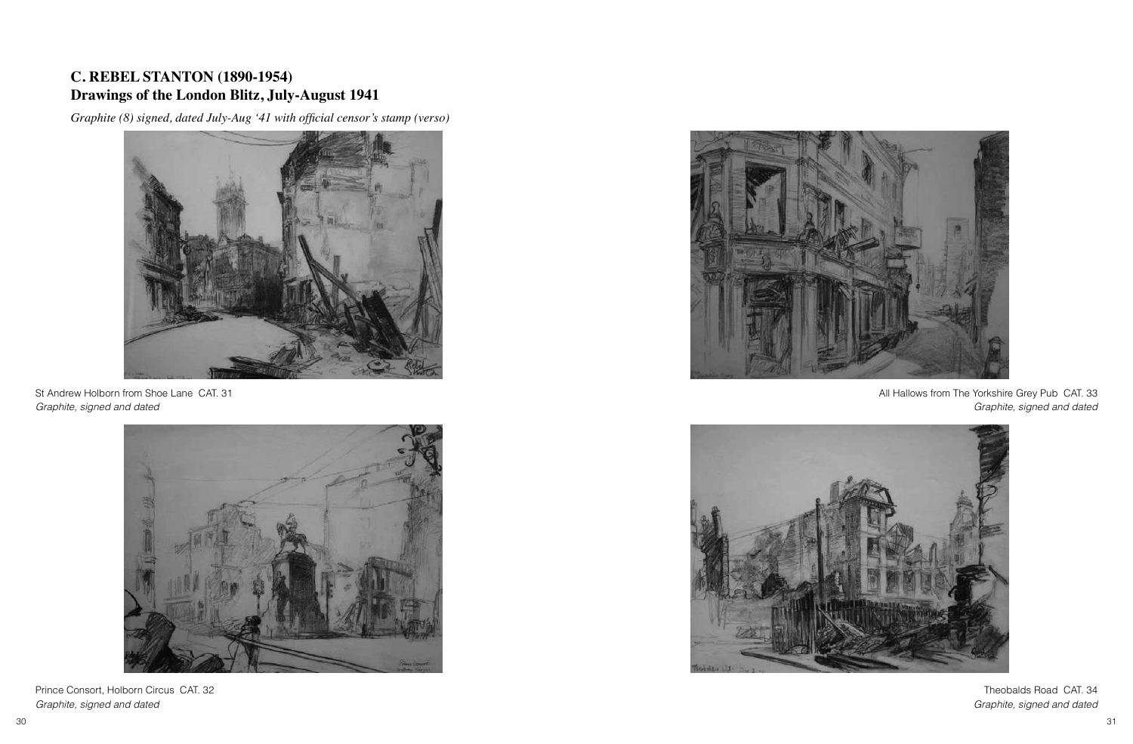#### **C. REBEL STANTON (1890-1954) Drawings of the London Blitz, July-August 1941**

*Graphite (8) signed, dated July-Aug '41 with official censor's stamp (verso)*



St Andrew Holborn from Shoe Lane CAT. 31 *Graphite, signed and dated*



Prince Consort, Holborn Circus CAT. 32 *Graphite, signed and dated*



All Hallows from The Yorkshire Grey Pub CAT. 33 *Graphite, signed and dated*



Theobalds Road CAT. 34 *Graphite, signed and dated*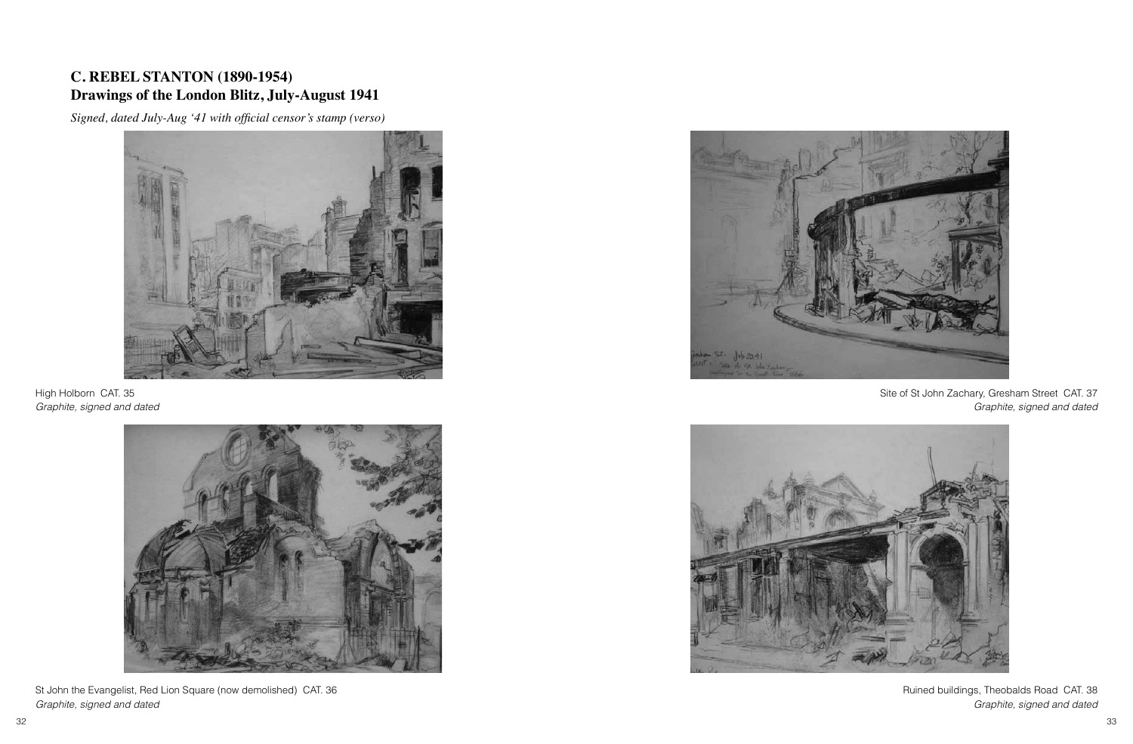#### **C. REBEL STANTON (1890-1954) Drawings of the London Blitz, July-August 1941**

*Signed, dated July-Aug '41 with official censor's stamp (verso)*



High Holborn CAT. 35 *Graphite, signed and dated*



St John the Evangelist, Red Lion Square (now demolished) CAT. 36 *Graphite, signed and dated*



Site of St John Zachary, Gresham Street CAT. 37 *Graphite, signed and dated*



Ruined buildings, Theobalds Road CAT. 38 *Graphite, signed and dated*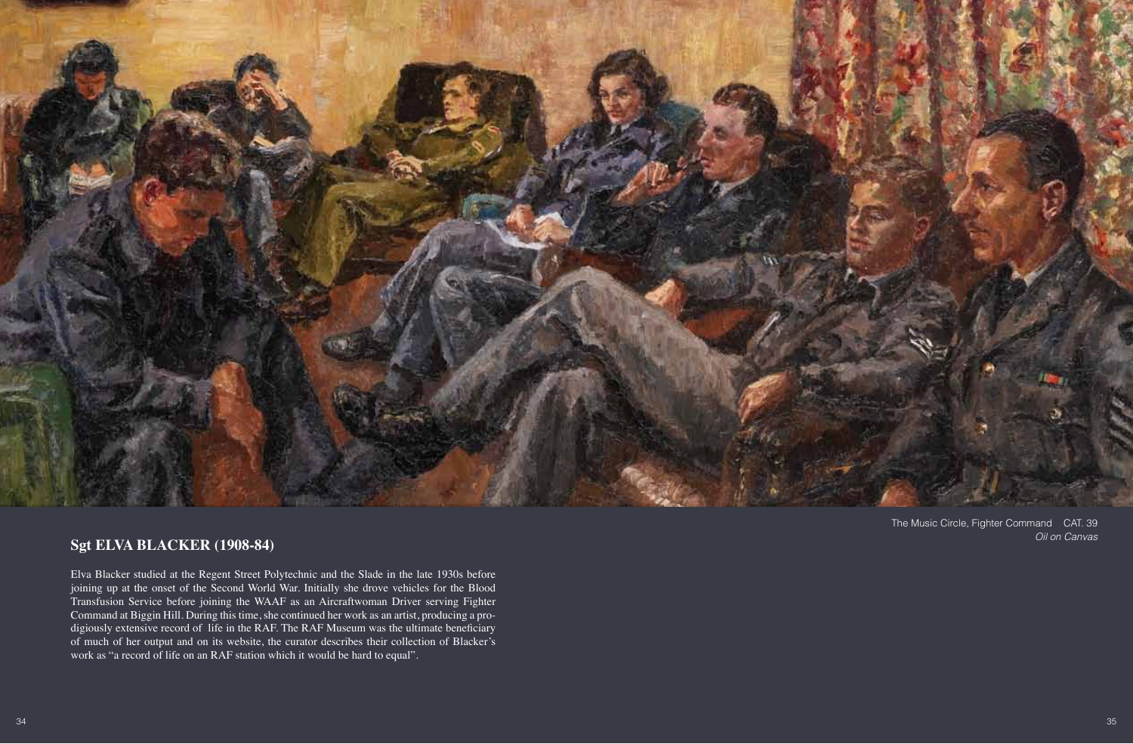

#### **Sgt ELVA BLACKER (1908-84)**

Elva Blacker studied at the Regent Street Polytechnic and the Slade in the late 1930s before joining up at the onset of the Second World War. Initially she drove vehicles for the Blood Transfusion Service before joining the WAAF as an Aircraftwoman Driver serving Fighter Command at Biggin Hill. During this time, she continued her work as an artist, producing a prodigiously extensive record of life in the RAF. The RAF Museum was the ultimate beneficiary of much of her output and on its website, the curator describes their collection of Blacker's work as "a record of life on an RAF station which it would be hard to equal".

The Music Circle, Fighter Command CAT. 39 *Oil on Canvas*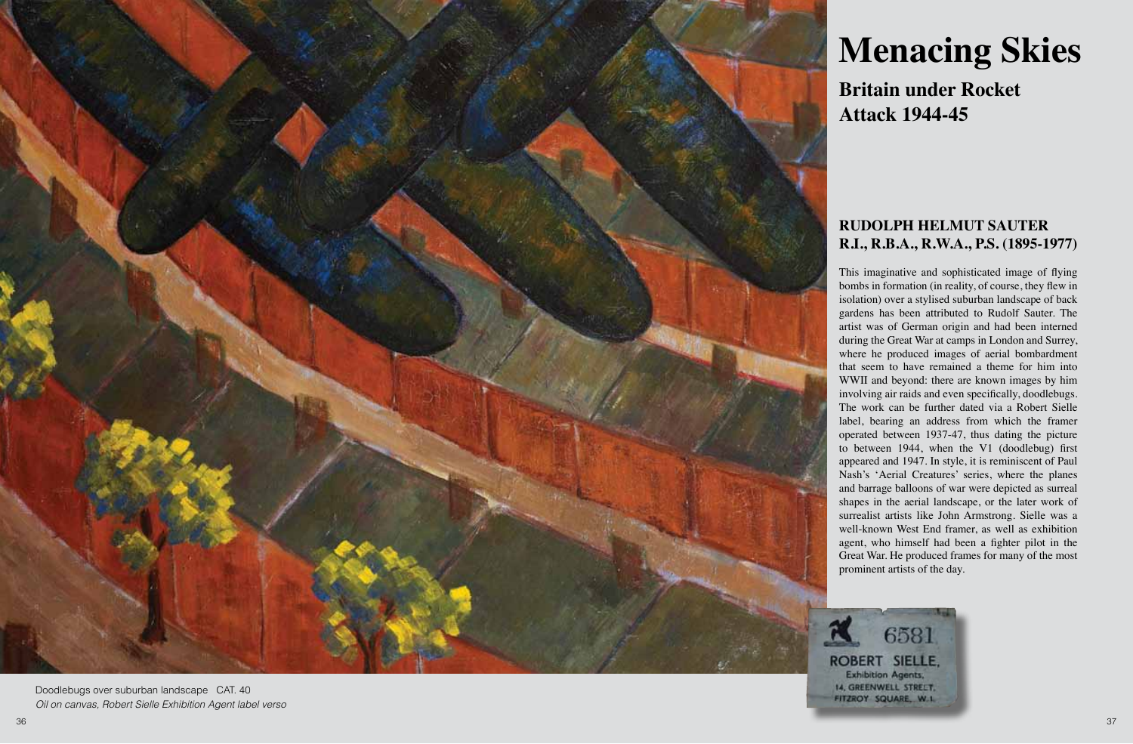

Doodlebugs over suburban landscape CAT. 40 *Oil on canvas, Robert Sielle Exhibition Agent label verso*

### **Menacing Skies**

**Britain under Rocket Attack 1944-45**

#### **RUDOLPH HELMUT SAUTER R.I., R.B.A., R.W.A., P.S. (1895-1977)**

This imaginative and sophisticated image of flying bombs in formation (in reality, of course, they flew in isolation) over a stylised suburban landscape of back gardens has been attributed to Rudolf Sauter. The artist was of German origin and had been interned during the Great War at camps in London and Surrey, where he produced images of aerial bombardment that seem to have remained a theme for him into WWII and beyond: there are known images by him involving air raids and even specifically, doodlebugs. The work can be further dated via a Robert Sielle label, bearing an address from which the framer operated between 1937-47, thus dating the picture to between 1944, when the V1 (doodlebug) first appeared and 1947. In style, it is reminiscent of Paul Nash's 'Aerial Creatures' series, where the planes and barrage balloons of war were depicted as surreal shapes in the aerial landscape, or the later work of surrealist artists like John Armstrong. Sielle was a well-known West End framer, as well as exhibition agent, who himself had been a fighter pilot in the Great War. He produced frames for many of the most prominent artists of the day.

6581 **ROBERT SIELLE. Exhibition Agents,** 14, GREENWELL STRELT. FITZROY SQUARE, W.L.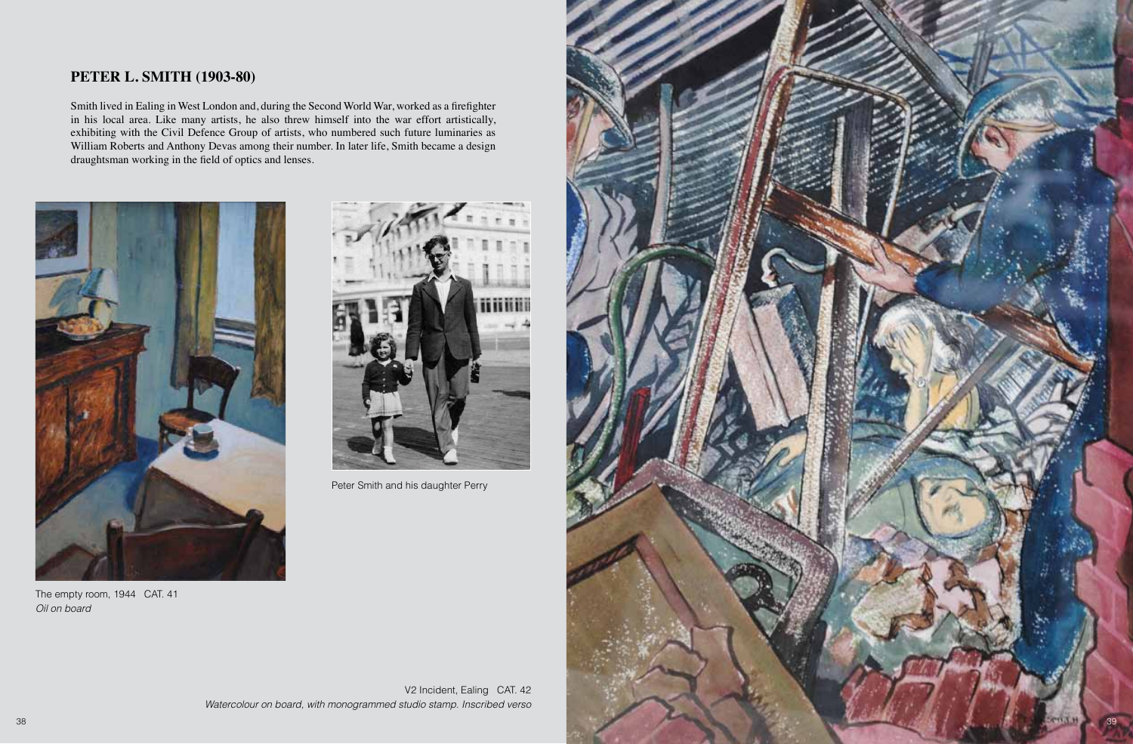#### **PETER L. SMITH (1903-80)**

Smith lived in Ealing in West London and, during the Second World War, worked as a firefighter in his local area. Like many artists, he also threw himself into the war effort artistically, exhibiting with the Civil Defence Group of artists, who numbered such future luminaries as William Roberts and Anthony Devas among their number. In later life, Smith became a design draughtsman working in the field of optics and lenses.



The empty room, 1944 CAT. 41 *Oil on board*



Peter Smith and his daughter Perry



V2 Incident, Ealing CAT. 42 *Watercolour on board, with monogrammed studio stamp. Inscribed verso*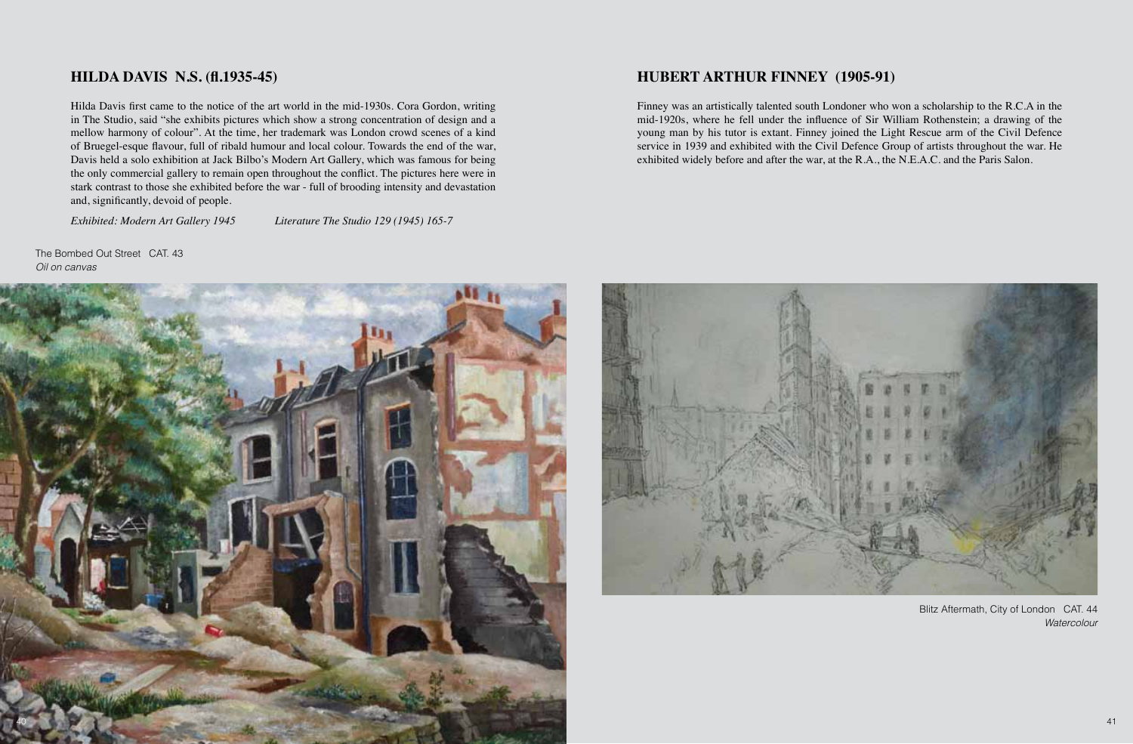#### **HILDA DAVIS N.S. (fl.1935-45)**

Hilda Davis first came to the notice of the art world in the mid-1930s. Cora Gordon, writing in The Studio, said "she exhibits pictures which show a strong concentration of design and a mellow harmony of colour". At the time, her trademark was London crowd scenes of a kind of Bruegel-esque flavour, full of ribald humour and local colour. Towards the end of the war, Davis held a solo exhibition at Jack Bilbo's Modern Art Gallery, which was famous for being the only commercial gallery to remain open throughout the conflict. The pictures here were in stark contrast to those she exhibited before the war - full of brooding intensity and devastation and, significantly, devoid of people.

*Exhibited: Modern Art Gallery 1945 Literature The Studio 129 (1945) 165-7*

The Bombed Out Street CAT 43 *Oil on canvas*



#### **HUBERT ARTHUR FINNEY (1905-91)**

Finney was an artistically talented south Londoner who won a scholarship to the R.C.A in the mid-1920s, where he fell under the influence of Sir William Rothenstein; a drawing of the young man by his tutor is extant. Finney joined the Light Rescue arm of the Civil Defence service in 1939 and exhibited with the Civil Defence Group of artists throughout the war. He exhibited widely before and after the war, at the R.A., the N.E.A.C. and the Paris Salon.



Blitz Aftermath, City of London CAT. 44 *Watercolour*